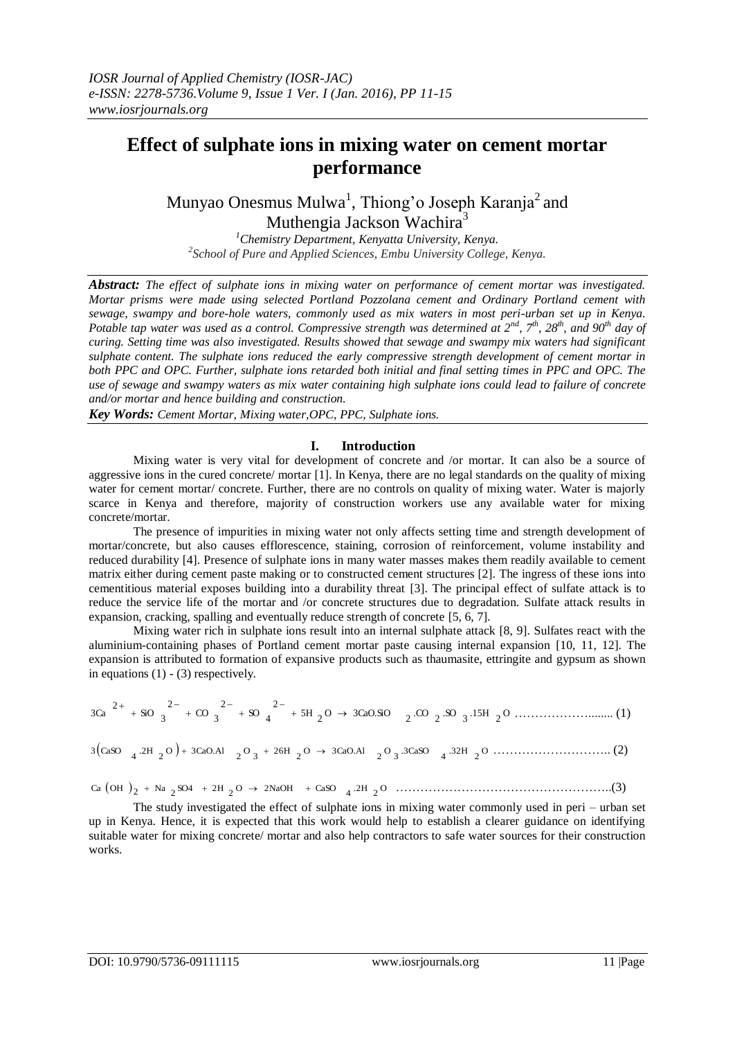# **Effect of sulphate ions in mixing water on cement mortar performance**

Munyao Onesmus Mulwa<sup>1</sup>, Thiong'o Joseph Karanja<sup>2</sup> and Muthengia Jackson Wachira<sup>3</sup>

*<sup>1</sup>Chemistry Department, Kenyatta University, Kenya. 2 School of Pure and Applied Sciences, Embu University College, Kenya.*

*Abstract: The effect of sulphate ions in mixing water on performance of cement mortar was investigated. Mortar prisms were made using selected Portland Pozzolana cement and Ordinary Portland cement with sewage, swampy and bore-hole waters, commonly used as mix waters in most peri-urban set up in Kenya. Potable tap water was used as a control. Compressive strength was determined at*  $2^{nd}$ *,*  $7^{th}$ *,*  $28^{th}$ *, and*  $90^{th}$  *day of curing. Setting time was also investigated. Results showed that sewage and swampy mix waters had significant sulphate content. The sulphate ions reduced the early compressive strength development of cement mortar in both PPC and OPC. Further, sulphate ions retarded both initial and final setting times in PPC and OPC. The use of sewage and swampy waters as mix water containing high sulphate ions could lead to failure of concrete and/or mortar and hence building and construction.*

*Key Words: Cement Mortar, Mixing water,OPC, PPC, Sulphate ions.*

### **I. Introduction**

Mixing water is very vital for development of concrete and /or mortar. It can also be a source of aggressive ions in the cured concrete/ mortar [1]. In Kenya, there are no legal standards on the quality of mixing water for cement mortar/ concrete. Further, there are no controls on quality of mixing water. Water is majorly scarce in Kenya and therefore, majority of construction workers use any available water for mixing concrete/mortar.

The presence of impurities in mixing water not only affects setting time and strength development of mortar/concrete, but also causes efflorescence, staining, corrosion of reinforcement, volume instability and reduced durability [4]. Presence of sulphate ions in many water masses makes them readily available to cement matrix either during cement paste making or to constructed cement structures [2]. The ingress of these ions into cementitious material exposes building into a durability threat [3]. The principal effect of sulfate attack is to reduce the service life of the mortar and /or concrete structures due to degradation. Sulfate attack results in expansion, cracking, spalling and eventually reduce strength of concrete [5, 6, 7].

Mixing water rich in sulphate ions result into an internal sulphate attack [8, 9]. Sulfates react with the aluminium-containing phases of Portland cement mortar paste causing internal expansion [10, 11, 12]. The expansion is attributed to formation of expansive products such as thaumasite, ettringite and gypsum as shown in equations  $(1) - (3)$  respectively.

$$
3Ca^{-2+} + SO_3^{-2-} + CO_3^{-2-} + SO_4^{-2-} + 5H_2O \rightarrow 3CaO.SO_2 \cdot CO_2 \cdot SO_3 \cdot 15H_2O \cdot \dots \cdot \dots \cdot \dots \cdot \dots \cdot (1)
$$

 O 2 .32H <sup>4</sup> .3CaSO <sup>3</sup> O 2 <sup>O</sup> 3CaO.Al <sup>2</sup> 26H <sup>3</sup> O 2 <sup>O</sup> 3CaO.Al <sup>2</sup> .2H <sup>4</sup> 3 CaSO ……………………….. (2)

$$
Ca (OH )_{2} + Na _{2}SO4 + 2H _{2}O \rightarrow 2NaOH + CaSO _{4}.2H _{2}O
$$
.................(3)

The study investigated the effect of sulphate ions in mixing water commonly used in peri – urban set up in Kenya. Hence, it is expected that this work would help to establish a clearer guidance on identifying suitable water for mixing concrete/ mortar and also help contractors to safe water sources for their construction works.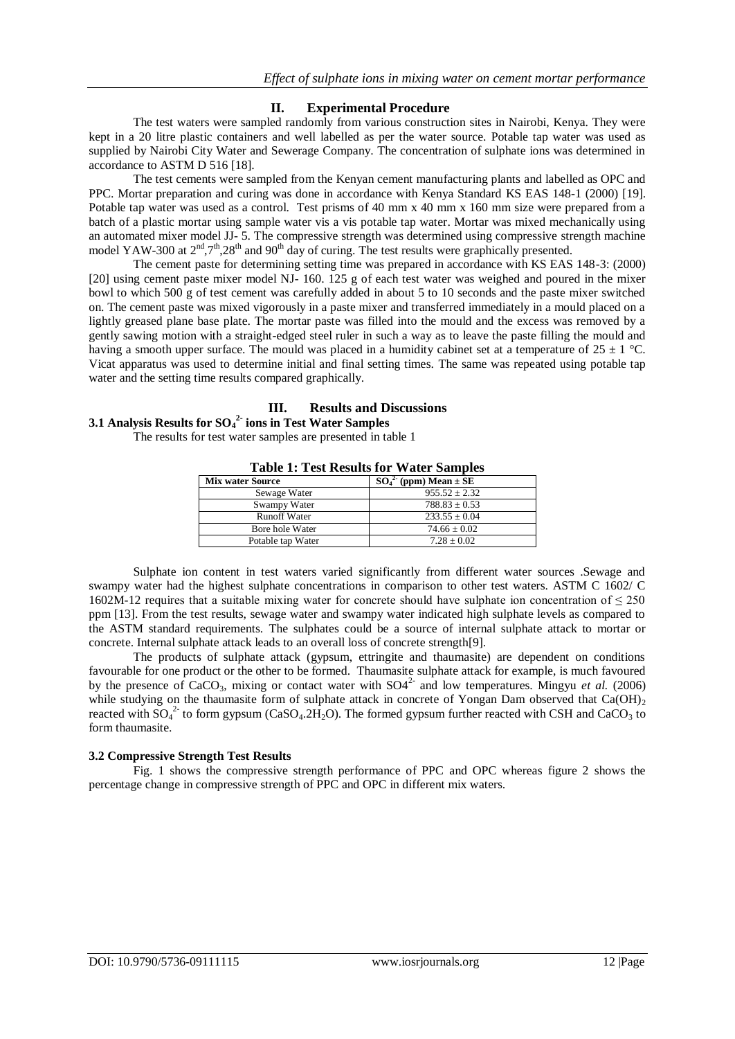# **II. Experimental Procedure**

The test waters were sampled randomly from various construction sites in Nairobi, Kenya. They were kept in a 20 litre plastic containers and well labelled as per the water source. Potable tap water was used as supplied by Nairobi City Water and Sewerage Company. The concentration of sulphate ions was determined in accordance to ASTM D 516 [18].

The test cements were sampled from the Kenyan cement manufacturing plants and labelled as OPC and PPC. Mortar preparation and curing was done in accordance with Kenya Standard KS EAS 148-1 (2000) [19]. Potable tap water was used as a control. Test prisms of 40 mm x 40 mm x 160 mm size were prepared from a batch of a plastic mortar using sample water vis a vis potable tap water. Mortar was mixed mechanically using an automated mixer model JJ- 5. The compressive strength was determined using compressive strength machine model YAW-300 at  $2<sup>nd</sup>,7<sup>th</sup>,28<sup>th</sup>$  and 90<sup>th</sup> day of curing. The test results were graphically presented.

The cement paste for determining setting time was prepared in accordance with KS EAS 148-3: (2000) [20] using cement paste mixer model NJ- 160. 125 g of each test water was weighed and poured in the mixer bowl to which 500 g of test cement was carefully added in about 5 to 10 seconds and the paste mixer switched on. The cement paste was mixed vigorously in a paste mixer and transferred immediately in a mould placed on a lightly greased plane base plate. The mortar paste was filled into the mould and the excess was removed by a gently sawing motion with a straight-edged steel ruler in such a way as to leave the paste filling the mould and having a smooth upper surface. The mould was placed in a humidity cabinet set at a temperature of  $25 \pm 1$  °C. Vicat apparatus was used to determine initial and final setting times. The same was repeated using potable tap water and the setting time results compared graphically.

# **III. Results and Discussions**

# **3.1 Analysis Results for SO<sup>4</sup> 2- ions in Test Water Samples**

The results for test water samples are presented in table 1

| A WIJAY AT A YUV ALVUMANJ AVA TI MVYA IJIMAANJAYU |                              |
|---------------------------------------------------|------------------------------|
| <b>Mix water Source</b>                           | $SO_4^2$ (ppm) Mean $\pm$ SE |
| Sewage Water                                      | $955.52 \pm 2.32$            |
| Swampy Water                                      | $788.83 \pm 0.53$            |
| <b>Runoff Water</b>                               | $233.55 \pm 0.04$            |
| Bore hole Water                                   | $74.66 \pm 0.02$             |
| Potable tap Water                                 | $7.28 \pm 0.02$              |

# **Table 1: Test Results for Water Samples**

Sulphate ion content in test waters varied significantly from different water sources .Sewage and swampy water had the highest sulphate concentrations in comparison to other test waters. ASTM C 1602/ C 1602M-12 requires that a suitable mixing water for concrete should have sulphate ion concentration of  $\leq 250$ ppm [13]. From the test results, sewage water and swampy water indicated high sulphate levels as compared to the ASTM standard requirements. The sulphates could be a source of internal sulphate attack to mortar or concrete. Internal sulphate attack leads to an overall loss of concrete strength[9].

The products of sulphate attack (gypsum, ettringite and thaumasite) are dependent on conditions favourable for one product or the other to be formed. Thaumasite sulphate attack for example, is much favoured by the presence of CaCO<sub>3</sub>, mixing or contact water with  $SO4<sup>2</sup>$  and low temperatures. Mingyu *et al.* (2006) while studying on the thaumasite form of sulphate attack in concrete of Yongan Dam observed that  $Ca(OH)_{2}$ reacted with  $SO_4^2$  to form gypsum (CaSO<sub>4</sub>.2H<sub>2</sub>O). The formed gypsum further reacted with CSH and CaCO<sub>3</sub> to form thaumasite.

# **3.2 Compressive Strength Test Results**

Fig. 1 shows the compressive strength performance of PPC and OPC whereas figure 2 shows the percentage change in compressive strength of PPC and OPC in different mix waters.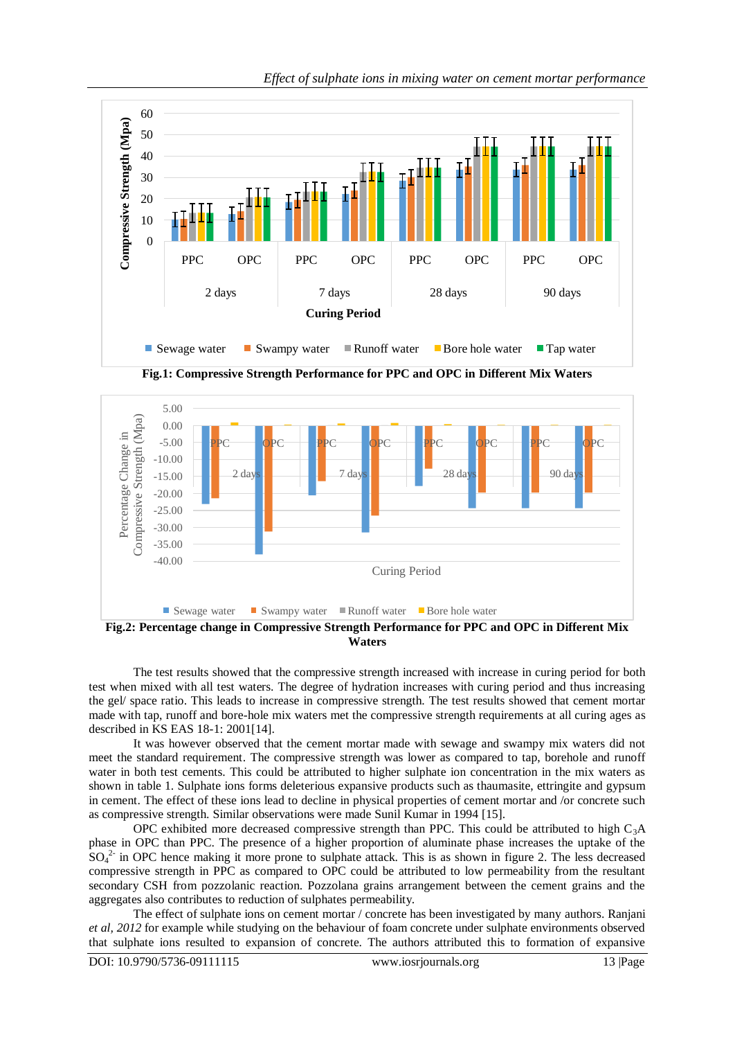

*Effect of sulphate ions in mixing water on cement mortar performance*

**Fig.1: Compressive Strength Performance for PPC and OPC in Different Mix Waters**



**Fig.2: Percentage change in Compressive Strength Performance for PPC and OPC in Different Mix Waters**

The test results showed that the compressive strength increased with increase in curing period for both test when mixed with all test waters. The degree of hydration increases with curing period and thus increasing the gel/ space ratio. This leads to increase in compressive strength. The test results showed that cement mortar made with tap, runoff and bore-hole mix waters met the compressive strength requirements at all curing ages as described in KS EAS 18-1: 2001[14].

It was however observed that the cement mortar made with sewage and swampy mix waters did not meet the standard requirement. The compressive strength was lower as compared to tap, borehole and runoff water in both test cements. This could be attributed to higher sulphate ion concentration in the mix waters as shown in table 1. Sulphate ions forms deleterious expansive products such as thaumasite, ettringite and gypsum in cement. The effect of these ions lead to decline in physical properties of cement mortar and /or concrete such as compressive strength. Similar observations were made Sunil Kumar in 1994 [15].

OPC exhibited more decreased compressive strength than PPC. This could be attributed to high  $C_3A$ phase in OPC than PPC. The presence of a higher proportion of aluminate phase increases the uptake of the  $SO_4^2$  in OPC hence making it more prone to sulphate attack. This is as shown in figure 2. The less decreased compressive strength in PPC as compared to OPC could be attributed to low permeability from the resultant secondary CSH from pozzolanic reaction. Pozzolana grains arrangement between the cement grains and the aggregates also contributes to reduction of sulphates permeability.

The effect of sulphate ions on cement mortar / concrete has been investigated by many authors. Ranjani *et al, 2012* for example while studying on the behaviour of foam concrete under sulphate environments observed that sulphate ions resulted to expansion of concrete. The authors attributed this to formation of expansive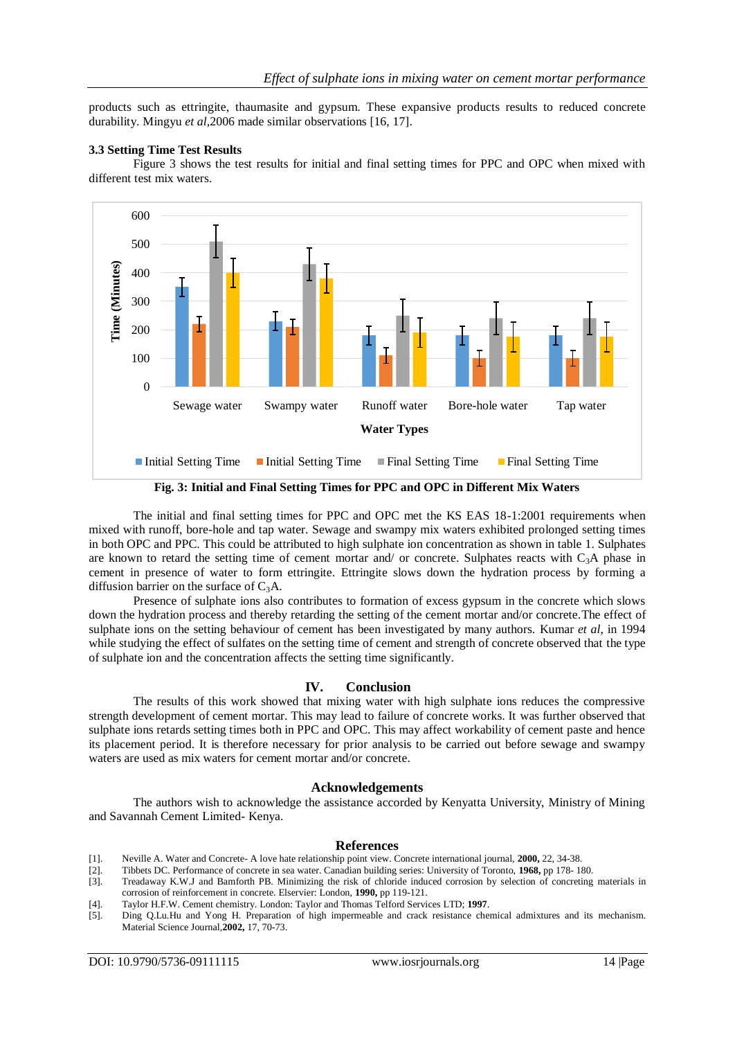products such as ettringite, thaumasite and gypsum. These expansive products results to reduced concrete durability. Mingyu *et al,*2006 made similar observations [16, 17].

#### **3.3 Setting Time Test Results**

Figure 3 shows the test results for initial and final setting times for PPC and OPC when mixed with different test mix waters.



**Fig. 3: Initial and Final Setting Times for PPC and OPC in Different Mix Waters**

The initial and final setting times for PPC and OPC met the KS EAS 18-1:2001 requirements when mixed with runoff, bore-hole and tap water. Sewage and swampy mix waters exhibited prolonged setting times in both OPC and PPC. This could be attributed to high sulphate ion concentration as shown in table 1. Sulphates are known to retard the setting time of cement mortar and/ or concrete. Sulphates reacts with  $C_3A$  phase in cement in presence of water to form ettringite. Ettringite slows down the hydration process by forming a diffusion barrier on the surface of  $C_3A$ .

Presence of sulphate ions also contributes to formation of excess gypsum in the concrete which slows down the hydration process and thereby retarding the setting of the cement mortar and/or concrete.The effect of sulphate ions on the setting behaviour of cement has been investigated by many authors. Kumar *et al*, in 1994 while studying the effect of sulfates on the setting time of cement and strength of concrete observed that the type of sulphate ion and the concentration affects the setting time significantly.

#### **IV. Conclusion**

The results of this work showed that mixing water with high sulphate ions reduces the compressive strength development of cement mortar. This may lead to failure of concrete works. It was further observed that sulphate ions retards setting times both in PPC and OPC. This may affect workability of cement paste and hence its placement period. It is therefore necessary for prior analysis to be carried out before sewage and swampy waters are used as mix waters for cement mortar and/or concrete.

### **Acknowledgements**

The authors wish to acknowledge the assistance accorded by Kenyatta University, Ministry of Mining and Savannah Cement Limited- Kenya.

#### **References**

- [1]. Neville A. Water and Concrete- A love hate relationship point view. Concrete international journal, **2000,** 22, 34-38.
- [2]. Tibbets DC. Performance of concrete in sea water. Canadian building series: University of Toronto, **1968,** pp 178- 180.
- [3]. Treadaway K.W.J and Bamforth PB. Minimizing the risk of chloride induced corrosion by selection of concreting materials in corrosion of reinforcement in concrete. Elservier: London, **1990,** pp 119-121.
- [4]. Taylor H.F.W. Cement chemistry. London: Taylor and Thomas Telford Services LTD; **1997**.

[5]. Ding Q.Lu.Hu and Yong H. Preparation of high impermeable and crack resistance chemical admixtures and its mechanism. Material Science Journal,**2002,** 17, 70-73.